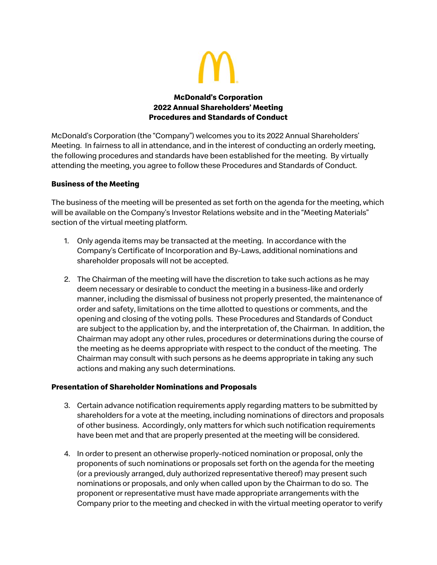

# **McDonald's Corporation 2022 Annual Shareholders' Meeting Procedures and Standards of Conduct**

McDonald's Corporation (the "Company") welcomes you to its 2022 Annual Shareholders' Meeting. In fairness to all in attendance, and in the interest of conducting an orderly meeting, the following procedures and standards have been established for the meeting. By virtually attending the meeting, you agree to follow these Procedures and Standards of Conduct.

# **Business of the Meeting**

The business of the meeting will be presented as set forth on the agenda for the meeting, which will be available on the Company's Investor Relations website and in the "Meeting Materials" section of the virtual meeting platform.

- 1. Only agenda items may be transacted at the meeting. In accordance with the Company's Certificate of Incorporation and By-Laws, additional nominations and shareholder proposals will not be accepted.
- 2. The Chairman of the meeting will have the discretion to take such actions as he may deem necessary or desirable to conduct the meeting in a business-like and orderly manner, including the dismissal of business not properly presented, the maintenance of order and safety, limitations on the time allotted to questions or comments, and the opening and closing of the voting polls. These Procedures and Standards of Conduct are subject to the application by, and the interpretation of, the Chairman. In addition, the Chairman may adopt any other rules, procedures or determinations during the course of the meeting as he deems appropriate with respect to the conduct of the meeting. The Chairman may consult with such persons as he deems appropriate in taking any such actions and making any such determinations.

# **Presentation of Shareholder Nominations and Proposals**

- 3. Certain advance notification requirements apply regarding matters to be submitted by shareholders for a vote at the meeting, including nominations of directors and proposals of other business. Accordingly, only matters for which such notification requirements have been met and that are properly presented at the meeting will be considered.
- 4. In order to present an otherwise properly-noticed nomination or proposal, only the proponents of such nominations or proposals set forth on the agenda for the meeting (or a previously arranged, duly authorized representative thereof) may present such nominations or proposals, and only when called upon by the Chairman to do so. The proponent or representative must have made appropriate arrangements with the Company prior to the meeting and checked in with the virtual meeting operator to verify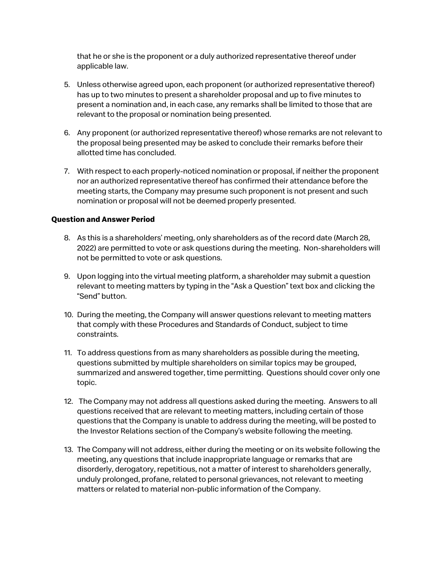that he or she is the proponent or a duly authorized representative thereof under applicable law.

- 5. Unless otherwise agreed upon, each proponent (or authorized representative thereof) has up to two minutes to present a shareholder proposal and up to five minutes to present a nomination and, in each case, any remarks shall be limited to those that are relevant to the proposal or nomination being presented.
- 6. Any proponent (or authorized representative thereof) whose remarks are not relevant to the proposal being presented may be asked to conclude their remarks before their allotted time has concluded.
- 7. With respect to each properly-noticed nomination or proposal, if neither the proponent nor an authorized representative thereof has confirmed their attendance before the meeting starts, the Company may presume such proponent is not present and such nomination or proposal will not be deemed properly presented.

### **Question and Answer Period**

- 8. As this is a shareholders' meeting, only shareholders as of the record date (March 28, 2022) are permitted to vote or ask questions during the meeting. Non-shareholders will not be permitted to vote or ask questions.
- 9. Upon logging into the virtual meeting platform, a shareholder may submit a question relevant to meeting matters by typing in the "Ask a Question" text box and clicking the "Send" button.
- 10. During the meeting, the Company will answer questions relevant to meeting matters that comply with these Procedures and Standards of Conduct, subject to time constraints.
- 11. To address questions from as many shareholders as possible during the meeting, questions submitted by multiple shareholders on similar topics may be grouped, summarized and answered together, time permitting. Questions should cover only one topic.
- 12. The Company may not address all questions asked during the meeting. Answers to all questions received that are relevant to meeting matters, including certain of those questions that the Company is unable to address during the meeting, will be posted to the Investor Relations section of the Company's website following the meeting.
- 13. The Company will not address, either during the meeting or on its website following the meeting, any questions that include inappropriate language or remarks that are disorderly, derogatory, repetitious, not a matter of interest to shareholders generally, unduly prolonged, profane, related to personal grievances, not relevant to meeting matters or related to material non-public information of the Company.